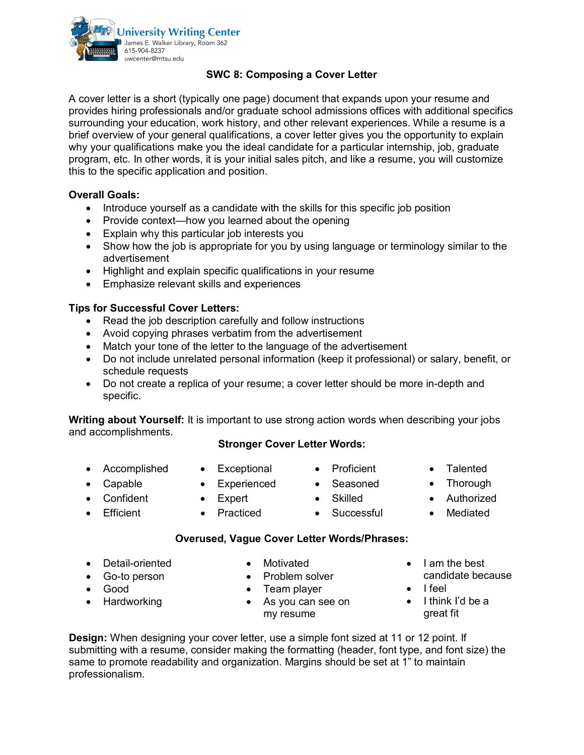

### **SWC 8: Composing a Cover Letter**

A cover letter is a short (typically one page) document that expands upon your resume and provides hiring professionals and/or graduate school admissions offices with additional specifics surrounding your education, work history, and other relevant experiences. While a resume is a brief overview of your general qualifications, a cover letter gives you the opportunity to explain why your qualifications make you the ideal candidate for a particular internship, job, graduate program, etc. In other words, it is your initial sales pitch, and like a resume, you will customize this to the specific application and position.

### **Overall Goals:**

- Introduce yourself as a candidate with the skills for this specific job position
- Provide context—how you learned about the opening
- Explain why this particular job interests you
- Show how the job is appropriate for you by using language or terminology similar to the advertisement
- Highlight and explain specific qualifications in your resume
- Emphasize relevant skills and experiences

### **Tips for Successful Cover Letters:**

- Read the job description carefully and follow instructions
- Avoid copying phrases verbatim from the advertisement
- Match your tone of the letter to the language of the advertisement
- Do not include unrelated personal information (keep it professional) or salary, benefit, or schedule requests
- Do not create a replica of your resume; a cover letter should be more in-depth and specific.

**Writing about Yourself:** It is important to use strong action words when describing your jobs and accomplishments.

### **Stronger Cover Letter Words:**

- Accomplished
- Exceptional • Experienced
- 
- Expert
	-
- Seasoned • Skilled

• Proficient

- 
- Talented
- Thorough
- Authorized • Mediated

• Confident • Efficient

• Capable

- Practiced
- Successful
- 
- **Overused, Vague Cover Letter Words/Phrases:**
- Detail-oriented
- Go-to person
- Good
- Hardworking
- Motivated
- Problem solver
- Team player
- As you can see on my resume
- I am the best candidate because
- I feel
- I think I'd be a great fit

**Design:** When designing your cover letter, use a simple font sized at 11 or 12 point. If submitting with a resume, consider making the formatting (header, font type, and font size) the same to promote readability and organization. Margins should be set at 1" to maintain professionalism.

- 
-